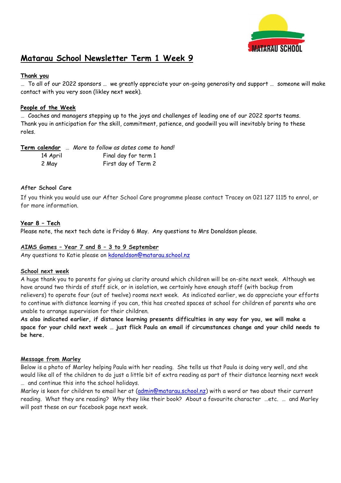

# **Matarau School Newsletter Term 1 Week 9**

## **Thank you**

… To all of our 2022 sponsors … we greatly appreciate your on-going generosity and support … someone will make contact with you very soon (likley next week).

## **People of the Week**

… Coaches and managers stepping up to the joys and challenges of leading one of our 2022 sports teams. Thank you in anticipation for the skill, commitment, patience, and goodwill you will inevitably bring to these roles.

# **Term calendar** … *More to follow as dates come to hand!*

| 14 April | Final day for term 1 |
|----------|----------------------|
| 2 May    | First day of Term 2  |

## **After School Care**

If you think you would use our After School Care programme please contact Tracey on 021 127 1115 to enrol, or for more information.

## **Year 8 – Tech**

Please note, the next tech date is Friday 6 May. Any questions to Mrs Donaldson please.

## **AIMS Games – Year 7 and 8 – 3 to 9 September**

Any questions to Katie please on [kdonaldson@matarau.school.nz](mailto:kdonaldson@matarau.school.nz)

## **School next week**

A huge thank you to parents for giving us clarity around which children will be on-site next week. Although we have around two thirds of staff sick, or in isolation, we certainly have enough staff (with backup from relievers) to operate four (out of twelve) rooms next week. As indicated earlier, we do appreciate your efforts to continue with distance learning if you can, this has created spaces at school for children of parents who are unable to arrange supervision for their children.

**As also indicated earlier, if distance learning presents difficulties in any way for you, we will make a space for your child next week … just flick Paula an email if circumstances change and your child needs to be here.**

## **Message from Marley**

Below is a photo of Marley helping Paula with her reading. She tells us that Paula is doing very well, and she would like all of the children to do just a little bit of extra reading as part of their distance learning next week … and continue this into the school holidays.

Marley is keen for children to email her at [\(admin@matarau.school.nz\)](mailto:admin@matarau.school.nz) with a word or two about their current reading. What they are reading? Why they like their book? About a favourite character …etc. … and Marley will post these on our facebook page next week.